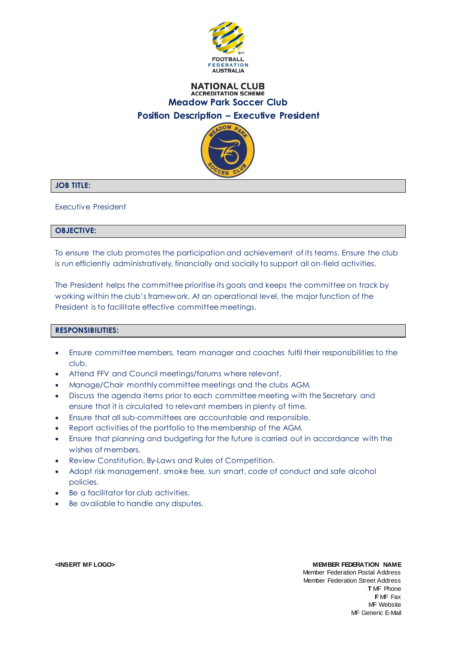

### **NATIONAL CLUB ACCREDITATION SCHEME Meadow Park Soccer Club Position Description – Executive President**



# **JOB TITLE:**

Executive President

### **OBJECTIVE:**

To ensure the club promotes the participation and achievement of its teams. Ensure the club is run efficiently administratively, financially and socially to support all on-field activities.

The President helps the committee prioritise its goals and keeps the committee on track by working within the club's framework. At an operational level, the major function of the President is to facilitate effective committee meetings.

## **RESPONSIBILITIES:**

- Ensure committee members, team manager and coaches fulfil their responsibilities to the club.
- Attend FFV and Council meetings/forums where relevant.
- Manage/Chair monthly committee meetings and the clubs AGM.
- Discuss the agenda items prior to each committee meeting with the Secretary and ensure that it is circulated to relevant members in plenty of time.
- Ensure that all sub-committees are accountable and responsible.
- Report activities of the portfolio to the membership of the AGM.
- Ensure that planning and budgeting for the future is carried out in accordance with the wishes of members.
- Review Constitution, By-Laws and Rules of Competition.
- Adopt risk management, smoke free, sun smart, code of conduct and safe alcohol policies.
- Be a facilitator for club activities.
- Be available to handle any disputes.

#### **<INSERT MF LOGO> MEMBER FEDERATION NAME**

Member Federation Postal Address Member Federation Street Address **T** MF Phone **F** MF Fax MF Website MF Generic E-Mail